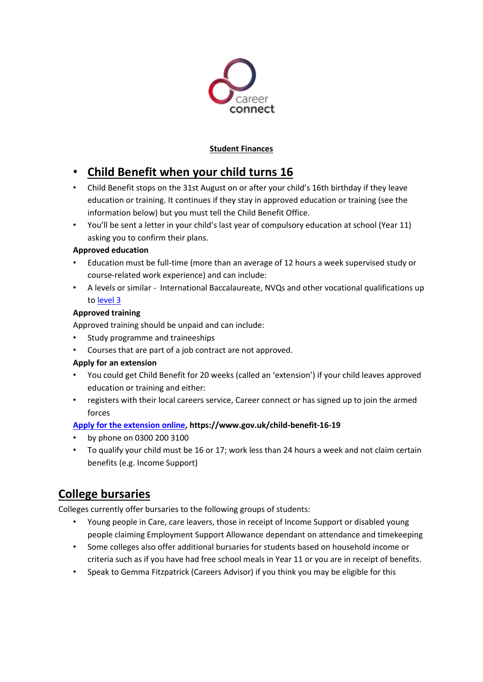

### **Student Finances**

# • **Child Benefit when your child turns 16**

- Child Benefit stops on the 31st August on or after your child's 16th birthday if they leave education or training. It continues if they stay in approved education or training (see the information below) but you must tell the Child Benefit Office.
- You'll be sent a letter in your child's last year of compulsory education at school (Year 11) asking you to confirm their plans.

### **Approved education**

- Education must be full-time (more than an average of 12 hours a week supervised study or course-related work experience) and can include:
- A levels or similar International Baccalaureate, NVQs and other vocational qualifications up to [level 3](https://www.gov.uk/what-different-qualification-levels-mean/compare-different-qualification-levels)

### **Approved training**

Approved training should be unpaid and can include:

- Study programme and traineeships
- Courses that are part of a job contract are not approved.

#### **Apply for an extension**

- You could get Child Benefit for 20 weeks (called an 'extension') if your child leaves approved education or training and either:
- registers with their local careers service, Career connect or has signed up to join the armed forces

### **[Apply for the extension online,](file://///s-fs01/Gemma.Fitzpatrick$/WORD/Apply%20for%20the%20extension%20online) https://www.gov.uk/child-benefit-16-19**

- by phone on 0300 200 3100
- To qualify your child must be 16 or 17; work less than 24 hours a week and not claim certain benefits (e.g. Income Support)

## **College bursaries**

Colleges currently offer bursaries to the following groups of students:

- Young people in Care, care leavers, those in receipt of Income Support or disabled young people claiming Employment Support Allowance dependant on attendance and timekeeping
- Some colleges also offer additional bursaries for students based on household income or criteria such as if you have had free school meals in Year 11 or you are in receipt of benefits.
- Speak to Gemma Fitzpatrick (Careers Advisor) if you think you may be eligible for this